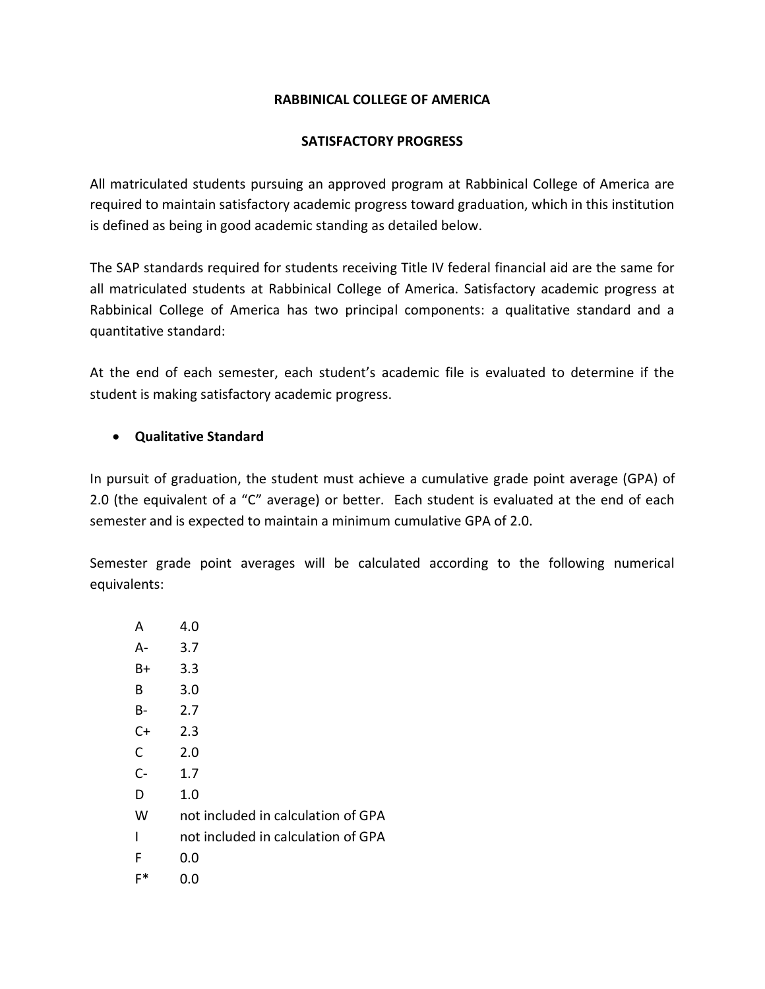### **RABBINICAL COLLEGE OF AMERICA**

### **SATISFACTORY PROGRESS**

All matriculated students pursuing an approved program at Rabbinical College of America are required to maintain satisfactory academic progress toward graduation, which in this institution is defined as being in good academic standing as detailed below.

The SAP standards required for students receiving Title IV federal financial aid are the same for all matriculated students at Rabbinical College of America. Satisfactory academic progress at Rabbinical College of America has two principal components: a qualitative standard and a quantitative standard:

At the end of each semester, each student's academic file is evaluated to determine if the student is making satisfactory academic progress.

### **Qualitative Standard**

In pursuit of graduation, the student must achieve a cumulative grade point average (GPA) of 2.0 (the equivalent of a "C" average) or better. Each student is evaluated at the end of each semester and is expected to maintain a minimum cumulative GPA of 2.0.

Semester grade point averages will be calculated according to the following numerical equivalents:

| A            | 4.0                                |
|--------------|------------------------------------|
| A-           | 3.7                                |
| B+           | 3.3                                |
| B            | 3.0                                |
| <b>B-</b>    | 2.7                                |
| $C+$         | 2.3                                |
| $\mathsf{C}$ | 2.0                                |
| $C -$        | 1.7                                |
| D            | 1.0                                |
| W            | not included in calculation of GPA |
| ı            | not included in calculation of GPA |
| F            | 0.0                                |
| F*           | 0.0                                |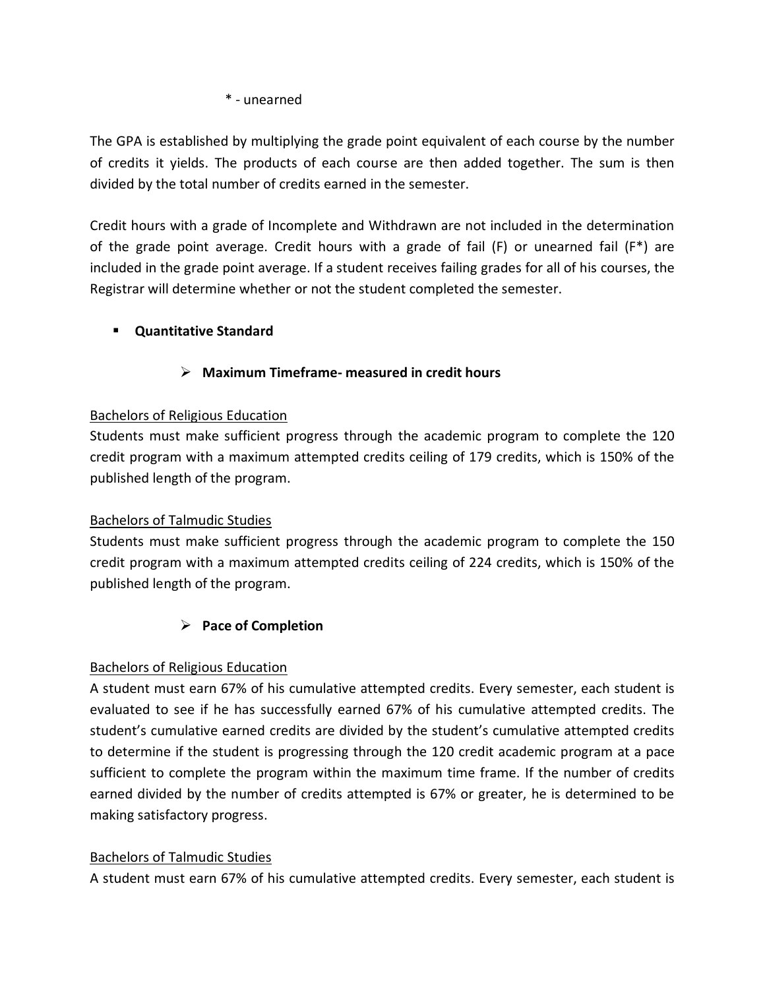### \* - unearned

The GPA is established by multiplying the grade point equivalent of each course by the number of credits it yields. The products of each course are then added together. The sum is then divided by the total number of credits earned in the semester.

Credit hours with a grade of Incomplete and Withdrawn are not included in the determination of the grade point average. Credit hours with a grade of fail  $(F)$  or unearned fail  $(F^*)$  are included in the grade point average. If a student receives failing grades for all of his courses, the Registrar will determine whether or not the student completed the semester.

# **Quantitative Standard**

# **Maximum Timeframe- measured in credit hours**

## Bachelors of Religious Education

Students must make sufficient progress through the academic program to complete the 120 credit program with a maximum attempted credits ceiling of 179 credits, which is 150% of the published length of the program.

## Bachelors of Talmudic Studies

Students must make sufficient progress through the academic program to complete the 150 credit program with a maximum attempted credits ceiling of 224 credits, which is 150% of the published length of the program.

# **Pace of Completion**

## Bachelors of Religious Education

A student must earn 67% of his cumulative attempted credits. Every semester, each student is evaluated to see if he has successfully earned 67% of his cumulative attempted credits. The student's cumulative earned credits are divided by the student's cumulative attempted credits to determine if the student is progressing through the 120 credit academic program at a pace sufficient to complete the program within the maximum time frame. If the number of credits earned divided by the number of credits attempted is 67% or greater, he is determined to be making satisfactory progress.

## Bachelors of Talmudic Studies

A student must earn 67% of his cumulative attempted credits. Every semester, each student is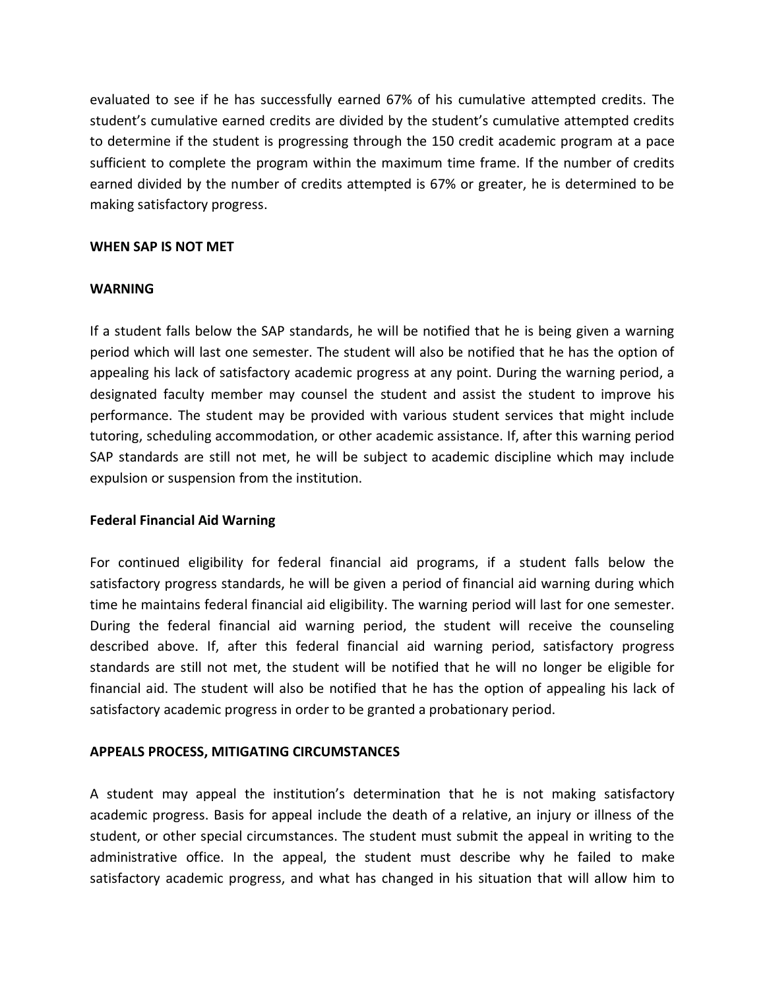evaluated to see if he has successfully earned 67% of his cumulative attempted credits. The student's cumulative earned credits are divided by the student's cumulative attempted credits to determine if the student is progressing through the 150 credit academic program at a pace sufficient to complete the program within the maximum time frame. If the number of credits earned divided by the number of credits attempted is 67% or greater, he is determined to be making satisfactory progress.

#### **WHEN SAP IS NOT MET**

#### **WARNING**

If a student falls below the SAP standards, he will be notified that he is being given a warning period which will last one semester. The student will also be notified that he has the option of appealing his lack of satisfactory academic progress at any point. During the warning period, a designated faculty member may counsel the student and assist the student to improve his performance. The student may be provided with various student services that might include tutoring, scheduling accommodation, or other academic assistance. If, after this warning period SAP standards are still not met, he will be subject to academic discipline which may include expulsion or suspension from the institution.

#### **Federal Financial Aid Warning**

For continued eligibility for federal financial aid programs, if a student falls below the satisfactory progress standards, he will be given a period of financial aid warning during which time he maintains federal financial aid eligibility. The warning period will last for one semester. During the federal financial aid warning period, the student will receive the counseling described above. If, after this federal financial aid warning period, satisfactory progress standards are still not met, the student will be notified that he will no longer be eligible for financial aid. The student will also be notified that he has the option of appealing his lack of satisfactory academic progress in order to be granted a probationary period.

#### **APPEALS PROCESS, MITIGATING CIRCUMSTANCES**

A student may appeal the institution's determination that he is not making satisfactory academic progress. Basis for appeal include the death of a relative, an injury or illness of the student, or other special circumstances. The student must submit the appeal in writing to the administrative office. In the appeal, the student must describe why he failed to make satisfactory academic progress, and what has changed in his situation that will allow him to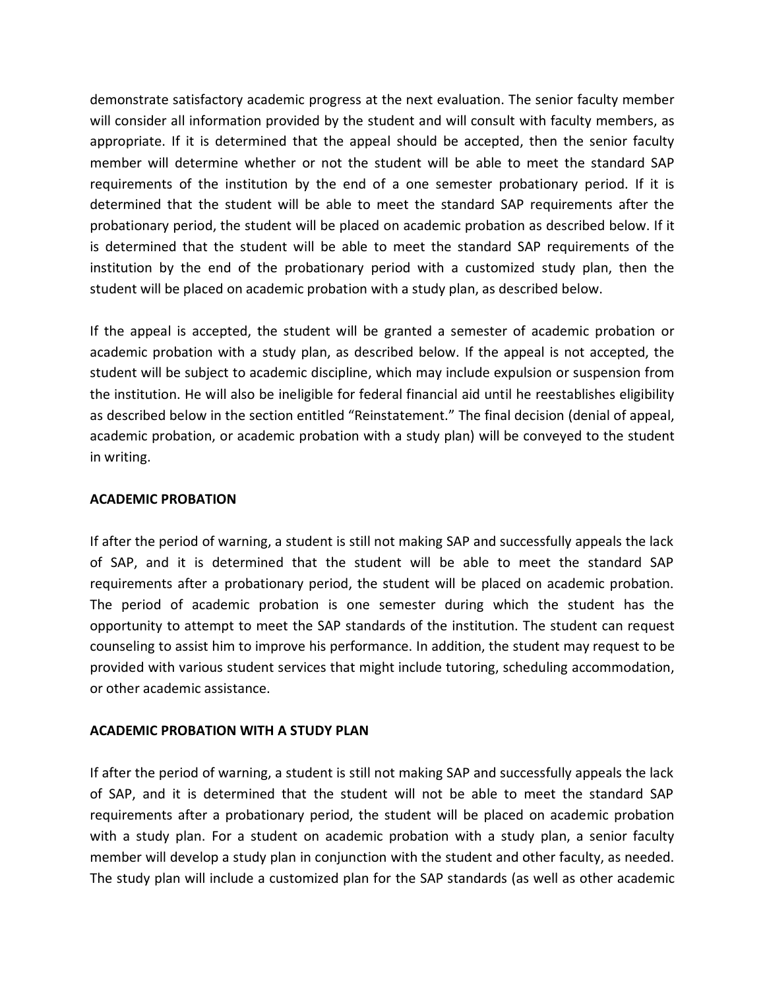demonstrate satisfactory academic progress at the next evaluation. The senior faculty member will consider all information provided by the student and will consult with faculty members, as appropriate. If it is determined that the appeal should be accepted, then the senior faculty member will determine whether or not the student will be able to meet the standard SAP requirements of the institution by the end of a one semester probationary period. If it is determined that the student will be able to meet the standard SAP requirements after the probationary period, the student will be placed on academic probation as described below. If it is determined that the student will be able to meet the standard SAP requirements of the institution by the end of the probationary period with a customized study plan, then the student will be placed on academic probation with a study plan, as described below.

If the appeal is accepted, the student will be granted a semester of academic probation or academic probation with a study plan, as described below. If the appeal is not accepted, the student will be subject to academic discipline, which may include expulsion or suspension from the institution. He will also be ineligible for federal financial aid until he reestablishes eligibility as described below in the section entitled "Reinstatement." The final decision (denial of appeal, academic probation, or academic probation with a study plan) will be conveyed to the student in writing.

#### **ACADEMIC PROBATION**

If after the period of warning, a student is still not making SAP and successfully appeals the lack of SAP, and it is determined that the student will be able to meet the standard SAP requirements after a probationary period, the student will be placed on academic probation. The period of academic probation is one semester during which the student has the opportunity to attempt to meet the SAP standards of the institution. The student can request counseling to assist him to improve his performance. In addition, the student may request to be provided with various student services that might include tutoring, scheduling accommodation, or other academic assistance.

## **ACADEMIC PROBATION WITH A STUDY PLAN**

If after the period of warning, a student is still not making SAP and successfully appeals the lack of SAP, and it is determined that the student will not be able to meet the standard SAP requirements after a probationary period, the student will be placed on academic probation with a study plan. For a student on academic probation with a study plan, a senior faculty member will develop a study plan in conjunction with the student and other faculty, as needed. The study plan will include a customized plan for the SAP standards (as well as other academic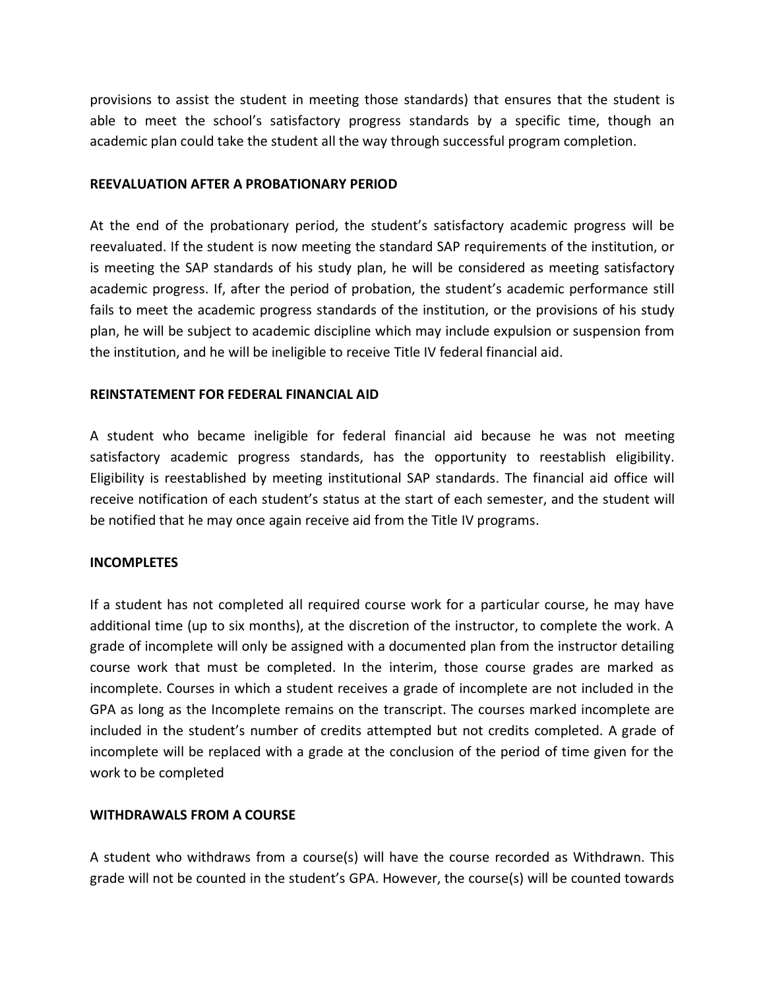provisions to assist the student in meeting those standards) that ensures that the student is able to meet the school's satisfactory progress standards by a specific time, though an academic plan could take the student all the way through successful program completion.

#### **REEVALUATION AFTER A PROBATIONARY PERIOD**

At the end of the probationary period, the student's satisfactory academic progress will be reevaluated. If the student is now meeting the standard SAP requirements of the institution, or is meeting the SAP standards of his study plan, he will be considered as meeting satisfactory academic progress. If, after the period of probation, the student's academic performance still fails to meet the academic progress standards of the institution, or the provisions of his study plan, he will be subject to academic discipline which may include expulsion or suspension from the institution, and he will be ineligible to receive Title IV federal financial aid.

#### **REINSTATEMENT FOR FEDERAL FINANCIAL AID**

A student who became ineligible for federal financial aid because he was not meeting satisfactory academic progress standards, has the opportunity to reestablish eligibility. Eligibility is reestablished by meeting institutional SAP standards. The financial aid office will receive notification of each student's status at the start of each semester, and the student will be notified that he may once again receive aid from the Title IV programs.

#### **INCOMPLETES**

If a student has not completed all required course work for a particular course, he may have additional time (up to six months), at the discretion of the instructor, to complete the work. A grade of incomplete will only be assigned with a documented plan from the instructor detailing course work that must be completed. In the interim, those course grades are marked as incomplete. Courses in which a student receives a grade of incomplete are not included in the GPA as long as the Incomplete remains on the transcript. The courses marked incomplete are included in the student's number of credits attempted but not credits completed. A grade of incomplete will be replaced with a grade at the conclusion of the period of time given for the work to be completed

#### **WITHDRAWALS FROM A COURSE**

A student who withdraws from a course(s) will have the course recorded as Withdrawn. This grade will not be counted in the student's GPA. However, the course(s) will be counted towards